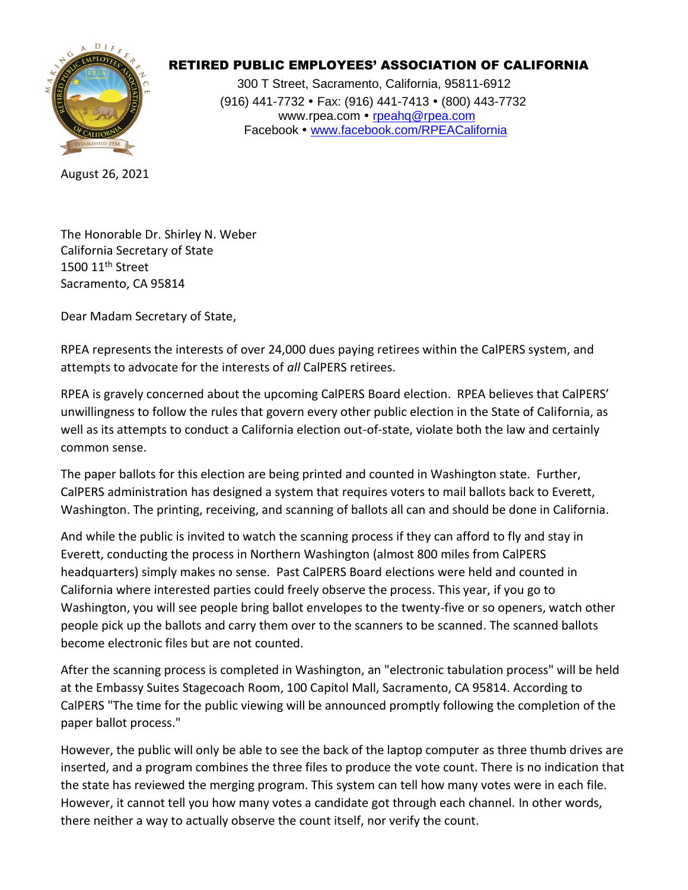

## RETIRED PUBLIC EMPLOYEES' ASSOCIATION OF CALIFORNIA

 300 T Street, Sacramento, California, 95811-6912 (916) 441-7732 • Fax: (916) 441-7413 • (800) 443-7732 www.rpea.com • [rpeahq@rpea.com](mailto:rpeahq@rpea.com) Facebook • [www.facebook.com/RPEACalifornia](http://www.facebook.com/RPEACalifornia)

August 26, 2021

The Honorable Dr. Shirley N. Weber California Secretary of State 1500 11th Street Sacramento, CA 95814

Dear Madam Secretary of State,

RPEA represents the interests of over 24,000 dues paying retirees within the CalPERS system, and attempts to advocate for the interests of *all* CalPERS retirees.

RPEA is gravely concerned about the upcoming CalPERS Board election. RPEA believes that CalPERS' unwillingness to follow the rules that govern every other public election in the State of California, as well as its attempts to conduct a California election out-of-state, violate both the law and certainly common sense.

The paper ballots for this election are being printed and counted in Washington state. Further, CalPERS administration has designed a system that requires voters to mail ballots back to Everett, Washington. The printing, receiving, and scanning of ballots all can and should be done in California.

And while the public is invited to watch the scanning process if they can afford to fly and stay in Everett, conducting the process in Northern Washington (almost 800 miles from CalPERS headquarters) simply makes no sense. Past CalPERS Board elections were held and counted in California where interested parties could freely observe the process. This year, if you go to Washington, you will see people bring ballot envelopes to the twenty-five or so openers, watch other people pick up the ballots and carry them over to the scanners to be scanned. The scanned ballots become electronic files but are not counted.

After the scanning process is completed in Washington, an "electronic tabulation process" will be held at the Embassy Suites Stagecoach Room, 100 Capitol Mall, Sacramento, CA 95814. According to CalPERS "The time for the public viewing will be announced promptly following the completion of the paper ballot process."

However, the public will only be able to see the back of the laptop computer as three thumb drives are inserted, and a program combines the three files to produce the vote count. There is no indication that the state has reviewed the merging program. This system can tell how many votes were in each file. However, it cannot tell you how many votes a candidate got through each channel. In other words, there neither a way to actually observe the count itself, nor verify the count.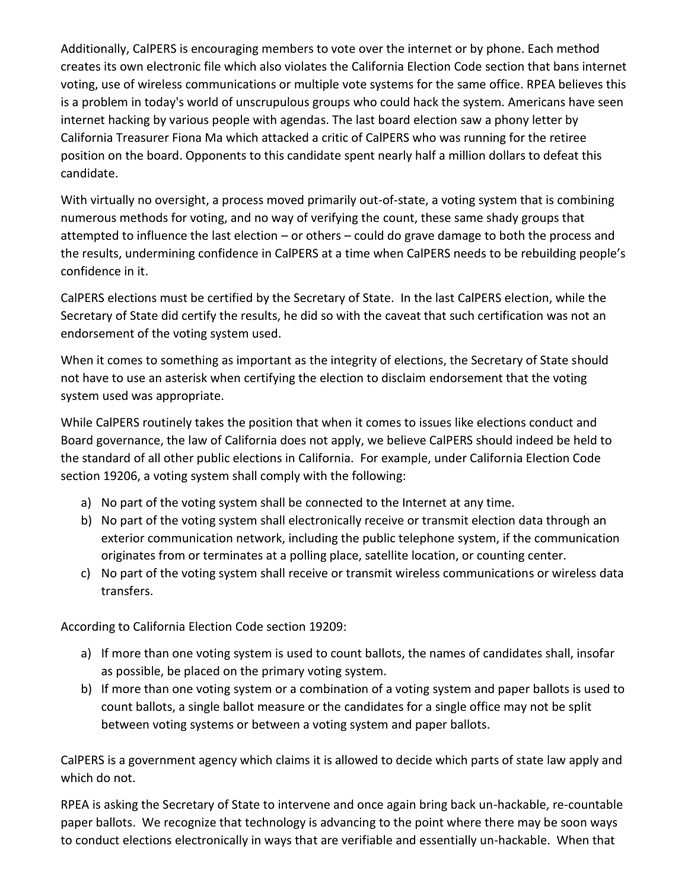Additionally, CalPERS is encouraging members to vote over the internet or by phone. Each method creates its own electronic file which also violates the California Election Code section that bans internet voting, use of wireless communications or multiple vote systems for the same office. RPEA believes this is a problem in today's world of unscrupulous groups who could hack the system. Americans have seen internet hacking by various people with agendas. The last board election saw a phony letter by California Treasurer Fiona Ma which attacked a critic of CalPERS who was running for the retiree position on the board. Opponents to this candidate spent nearly half a million dollars to defeat this candidate.

With virtually no oversight, a process moved primarily out-of-state, a voting system that is combining numerous methods for voting, and no way of verifying the count, these same shady groups that attempted to influence the last election – or others – could do grave damage to both the process and the results, undermining confidence in CalPERS at a time when CalPERS needs to be rebuilding people's confidence in it.

CalPERS elections must be certified by the Secretary of State. In the last CalPERS election, while the Secretary of State did certify the results, he did so with the caveat that such certification was not an endorsement of the voting system used.

When it comes to something as important as the integrity of elections, the Secretary of State should not have to use an asterisk when certifying the election to disclaim endorsement that the voting system used was appropriate.

While CalPERS routinely takes the position that when it comes to issues like elections conduct and Board governance, the law of California does not apply, we believe CalPERS should indeed be held to the standard of all other public elections in California. For example, under California Election Code section 19206, a voting system shall comply with the following:

- a) No part of the voting system shall be connected to the Internet at any time.
- b) No part of the voting system shall electronically receive or transmit election data through an exterior communication network, including the public telephone system, if the communication originates from or terminates at a polling place, satellite location, or counting center.
- c) No part of the voting system shall receive or transmit wireless communications or wireless data transfers.

According to California Election Code section 19209:

- a) If more than one voting system is used to count ballots, the names of candidates shall, insofar as possible, be placed on the primary voting system.
- b) If more than one voting system or a combination of a voting system and paper ballots is used to count ballots, a single ballot measure or the candidates for a single office may not be split between voting systems or between a voting system and paper ballots.

CalPERS is a government agency which claims it is allowed to decide which parts of state law apply and which do not.

RPEA is asking the Secretary of State to intervene and once again bring back un-hackable, re-countable paper ballots. We recognize that technology is advancing to the point where there may be soon ways to conduct elections electronically in ways that are verifiable and essentially un-hackable. When that